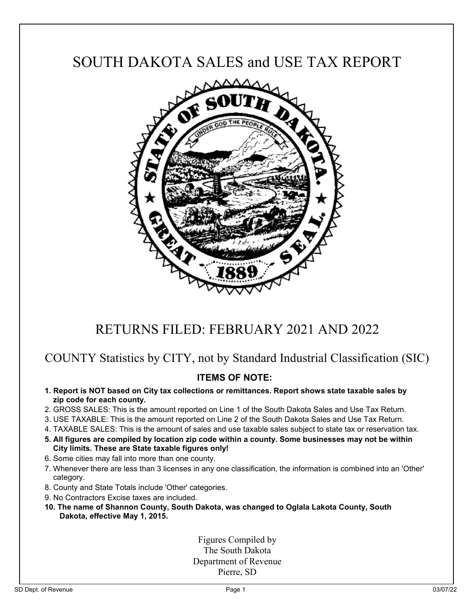# SOUTH DAKOTA SALES and USE TAX REPORT



## RETURNS FILED: FEBRUARY 2021 AND 2022

### COUNTY Statistics by CITY, not by Standard Industrial Classification (SIC)

### **ITEMS OF NOTE:**

- **1. Report is NOT based on City tax collections or remittances. Report shows state taxable sales by zip code for each county.**
- 2. GROSS SALES: This is the amount reported on Line 1 of the South Dakota Sales and Use Tax Return.
- 3. USE TAXABLE: This is the amount reported on Line 2 of the South Dakota Sales and Use Tax Return.
- 4. TAXABLE SALES: This is the amount of sales and use taxable sales subject to state tax or reservation tax.
- **5. All figures are compiled by location zip code within a county. Some businesses may not be within City limits. These are State taxable figures only!**
- 6. Some cities may fall into more than one county.
- 7. Whenever there are less than 3 licenses in any one classification, the information is combined into an 'Other' category.
- 8. County and State Totals include 'Other' categories.
- 9. No Contractors Excise taxes are included.
- **10. The name of Shannon County, South Dakota, was changed to Oglala Lakota County, South Dakota, effective May 1, 2015.**

Figures Compiled by The South Dakota Department of Revenue Pierre, SD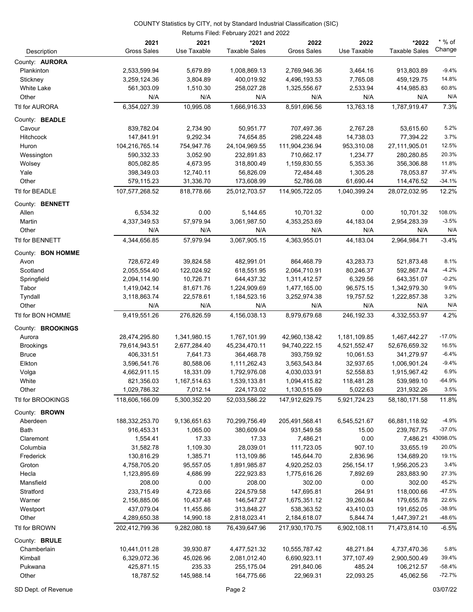|                       | Returns Filed: February 2021 and 2022 |              |                      |                    |              |                      |          |  |
|-----------------------|---------------------------------------|--------------|----------------------|--------------------|--------------|----------------------|----------|--|
|                       | 2021                                  | 2021         | *2021                | 2022               | 2022         | *2022                | $*$ % of |  |
| Description           | <b>Gross Sales</b>                    | Use Taxable  | <b>Taxable Sales</b> | <b>Gross Sales</b> | Use Taxable  | <b>Taxable Sales</b> | Change   |  |
| County: <b>AURORA</b> |                                       |              |                      |                    |              |                      |          |  |
| Plankinton            | 2,533,599.94                          | 5,679.89     | 1,008,869.13         | 2,769,946.36       | 3,464.16     | 913,803.89           | $-9.4%$  |  |
| Stickney              | 3,259,124.36                          | 3,804.89     | 400,019.92           | 4,496,193.53       | 7,765.08     | 459,129.75           | 14.8%    |  |
| White Lake            | 561,303.09                            | 1,510.30     | 258,027.28           | 1,325,556.67       | 2,533.94     | 414,985.83           | 60.8%    |  |
| Other                 | N/A                                   | N/A          | N/A                  | N/A                | N/A          | N/A                  | N/A      |  |
| Ttl for AURORA        | 6,354,027.39                          | 10,995.08    | 1,666,916.33         | 8,591,696.56       | 13,763.18    | 1,787,919.47         | 7.3%     |  |
| County: BEADLE        |                                       |              |                      |                    |              |                      |          |  |
| Cavour                | 839,782.04                            | 2,734.90     | 50,951.77            | 707,497.36         | 2,767.28     | 53,615.60            | 5.2%     |  |
| <b>Hitchcock</b>      | 147,841.91                            | 9,292.34     | 74,654.85            | 298,224.48         | 14,738.03    | 77,394.22            | 3.7%     |  |
| Huron                 | 104,216,765.14                        | 754,947.76   | 24,104,969.55        | 111,904,236.94     | 953,310.08   | 27,111,905.01        | 12.5%    |  |
| Wessington            | 590,332.33                            | 3,052.90     | 232,891.83           | 710,662.17         | 1,234.77     | 280,280.85           | 20.3%    |  |
| Wolsey                | 805,082.85                            | 4,673.95     | 318,800.49           | 1,159,830.55       | 5,353.36     | 356,306.88           | 11.8%    |  |
| Yale                  | 398,349.03                            | 12,740.11    | 56,826.09            | 72,484.48          | 1,305.28     | 78,053.87            | 37.4%    |  |
| Other                 | 579,115.23                            | 31,336.70    | 173,608.99           | 52,786.08          | 61,690.44    | 114,476.52           | $-34.1%$ |  |
| Ttl for BEADLE        | 107,577,268.52                        | 818,778.66   | 25,012,703.57        | 114,905,722.05     | 1,040,399.24 | 28,072,032.95        | 12.2%    |  |
| County: BENNETT       |                                       |              |                      |                    |              |                      |          |  |
| Allen                 | 6,534.32                              | 0.00         | 5,144.65             | 10,701.32          | 0.00         | 10,701.32            | 108.0%   |  |
| Martin                | 4,337,349.53                          | 57,979.94    | 3,061,987.50         | 4,353,253.69       | 44,183.04    | 2,954,283.39         | $-3.5%$  |  |
| Other                 | N/A                                   | N/A          | N/A                  | N/A                | N/A          | N/A                  | N/A      |  |
| Ttl for BENNETT       | 4,344,656.85                          | 57.979.94    | 3,067,905.15         | 4,363,955.01       | 44,183.04    | 2,964,984.71         | $-3.4%$  |  |
| County: BON HOMME     |                                       |              |                      |                    |              |                      |          |  |
| Avon                  | 728,672.49                            | 39,824.58    | 482,991.01           | 864,468.79         | 43,283.73    | 521,873.48           | 8.1%     |  |
| Scotland              | 2,055,554.40                          | 122,024.92   | 618,551.95           | 2,064,710.91       | 80,246.37    | 592,867.74           | $-4.2%$  |  |
| Springfield           | 2,094,114.90                          | 10,726.71    | 644,437.32           | 1,311,412.57       | 6,329.56     | 643,351.07           | $-0.2%$  |  |
| Tabor                 | 1,419,042.14                          | 81,671.76    | 1,224,909.69         | 1,477,165.00       | 96,575.15    | 1,342,979.30         | 9.6%     |  |
| Tyndall               | 3,118,863.74                          | 22,578.61    | 1,184,523.16         | 3,252,974.38       | 19,757.52    | 1,222,857.38         | 3.2%     |  |
| Other                 | N/A                                   | N/A          | N/A                  | N/A                | N/A          | N/A                  | N/A      |  |
| Ttl for BON HOMME     | 9,419,551.26                          | 276,826.59   | 4,156,038.13         | 8,979,679.68       | 246,192.33   | 4,332,553.97         | 4.2%     |  |
| County: BROOKINGS     |                                       |              |                      |                    |              |                      |          |  |
| Aurora                | 28,474,295.80                         | 1,341,980.15 | 1,767,101.99         | 42,960,138.42      | 1,181,109.85 | 1,467,442.27         | $-17.0%$ |  |
| <b>Brookings</b>      | 79,614,943.51                         | 2,677,284.40 | 45,234,470.11        | 94,740,222.15      | 4,521,552.47 | 52,676,659.32        | 16.5%    |  |
| <b>Bruce</b>          | 406,331.51                            | 7,641.73     | 364,468.78           | 393,759.92         | 10,061.53    | 341,279.97           | $-6.4%$  |  |
| Elkton                | 3,596,541.76                          | 80,588.06    | 1,111,262.43         | 3,563,543.84       | 32,937.65    | 1,006,901.24         | $-9.4%$  |  |
| Volga                 | 4,662,911.15                          | 18,331.09    | 1,792,976.08         | 4,030,033.91       | 52,558.83    | 1,915,967.42         | 6.9%     |  |
| White                 | 821,356.03                            | 1,167,514.63 | 1,539,133.81         | 1,094,415.82       | 118,481.28   | 539,989.10           | $-64.9%$ |  |
| Other                 | 1,029,786.32                          | 7,012.14     | 224,173.02           | 1,130,515.69       | 5,022.63     | 231,932.26           | 3.5%     |  |
| Ttl for BROOKINGS     | 118,606,166.09                        | 5,300,352.20 | 52,033,586.22        | 147,912,629.75     | 5,921,724.23 | 58,180,171.58        | 11.8%    |  |
| County: <b>BROWN</b>  |                                       |              |                      |                    |              |                      |          |  |
| Aberdeen              | 188,332,253.70                        | 9,136,651.63 | 70,299,756.49        | 205,491,568.41     | 6,545,521.67 | 66,881,118.92        | $-4.9%$  |  |
| <b>Bath</b>           | 916,453.31                            | 1,065.00     | 380,609.04           | 931,549.58         | 15.00        | 239,767.75           | $-37.0%$ |  |
| Claremont             | 1,554.41                              | 17.33        | 17.33                | 7,486.21           | 0.00         | 7,486.21             | 43098.0% |  |
| Columbia              | 31,582.78                             | 1,109.30     | 28,039.01            | 111,723.05         | 907.10       | 33,655.19            | 20.0%    |  |
| Frederick             | 130,816.29                            | 1,385.71     | 113,109.86           | 145,644.70         | 2,836.96     | 134,689.20           | 19.1%    |  |
| Groton                | 4,758,705.20                          | 95,557.05    | 1,891,985.87         | 4,920,252.03       | 256,154.17   | 1,956,205.23         | 3.4%     |  |
| Hecla                 | 1,123,895.69                          | 4,686.99     | 222,923.83           | 1,775,616.26       | 7,892.69     | 283,883.90           | 27.3%    |  |
| Mansfield             | 208.00                                | 0.00         | 208.00               | 302.00             | 0.00         | 302.00               | 45.2%    |  |
| Stratford             | 233,715.49                            | 4,723.66     | 224,579.58           | 147,695.81         | 264.91       | 118,000.66           | $-47.5%$ |  |
| Warner                | 2,156,885.06                          | 10,437.48    | 146,547.27           | 1,675,351.12       | 39,260.84    | 179,655.78           | 22.6%    |  |
| Westport              | 437,079.04                            | 11,455.86    | 313,848.27           | 538,363.52         | 43,410.03    | 191,652.05           | $-38.9%$ |  |
| Other                 | 4,289,650.38                          | 14,990.18    | 2,818,023.41         | 2,184,618.07       | 5,844.74     | 1,447,397.21         | $-48.6%$ |  |
| Ttl for BROWN         | 202,412,799.36                        | 9,282,080.18 | 76,439,647.96        | 217,930,170.75     | 6,902,108.11 | 71,473,814.10        | $-6.5%$  |  |
| County: BRULE         |                                       |              |                      |                    |              |                      |          |  |
| Chamberlain           | 10,441,011.28                         | 39,930.87    | 4,477,521.32         | 10,555,787.42      | 48,271.84    | 4,737,470.36         | 5.8%     |  |
| Kimball               | 6,329,072.36                          | 45,026.96    | 2,081,012.40         | 6,690,923.11       | 377,107.49   | 2,900,500.49         | 39.4%    |  |
| Pukwana               | 425,871.15                            | 235.33       | 255,175.04           | 291,840.06         | 485.24       | 106,212.57           | $-58.4%$ |  |
| Other                 | 18,787.52                             | 145,988.14   | 164,775.66           | 22,969.31          | 22,093.25    | 45,062.56            | $-72.7%$ |  |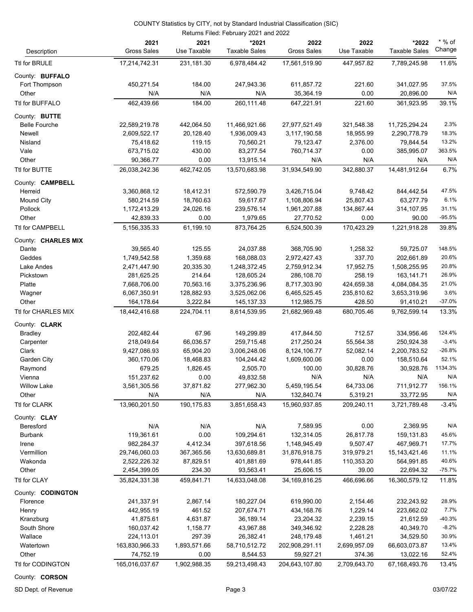| Returns Filed: February 2021 and 2022 |                             |                        |                               |                             |                        |                               |                     |  |
|---------------------------------------|-----------------------------|------------------------|-------------------------------|-----------------------------|------------------------|-------------------------------|---------------------|--|
| Description                           | 2021<br><b>Gross Sales</b>  | 2021<br>Use Taxable    | *2021<br><b>Taxable Sales</b> | 2022<br><b>Gross Sales</b>  | 2022<br>Use Taxable    | *2022<br><b>Taxable Sales</b> | $*$ % of<br>Change  |  |
| Ttl for BRULE                         | 17,214,742.31               | 231, 181.30            | 6,978,484.42                  | 17,561,519.90               | 447,957.82             | 7,789,245.98                  | 11.6%               |  |
| County: BUFFALO                       |                             |                        |                               |                             |                        |                               |                     |  |
| Fort Thompson                         | 450,271.54                  | 184.00                 | 247,943.36                    | 611,857.72                  | 221.60                 | 341,027.95                    | 37.5%               |  |
| Other                                 | N/A                         | N/A                    | N/A                           | 35,364.19                   | 0.00                   | 20,896.00                     | N/A                 |  |
| Ttl for BUFFALO                       | 462,439.66                  | 184.00                 | 260,111.48                    | 647,221.91                  | 221.60                 | 361,923.95                    | 39.1%               |  |
|                                       |                             |                        |                               |                             |                        |                               |                     |  |
| County: BUTTE<br><b>Belle Fourche</b> | 22,589,219.78               | 442,064.50             | 11,466,921.66                 | 27,977,521.49               | 321,548.38             | 11,725,294.24                 | 2.3%                |  |
| Newell                                | 2,609,522.17                | 20,128.40              | 1,936,009.43                  | 3,117,190.58                | 18,955.99              | 2,290,778.79                  | 18.3%               |  |
| Nisland                               | 75,418.62                   | 119.15                 | 70,560.21                     | 79,123.47                   | 2,376.00               | 79,844.54                     | 13.2%               |  |
| Vale                                  | 673,715.02                  | 430.00                 | 83,277.54                     | 760,714.37                  | 0.00                   | 385,995.07                    | 363.5%              |  |
| Other                                 | 90,366.77                   | 0.00                   | 13,915.14                     | N/A                         | N/A                    | N/A                           | N/A                 |  |
| Ttl for BUTTE                         | 26,038,242.36               | 462,742.05             | 13,570,683.98                 | 31,934,549.90               | 342,880.37             | 14,481,912.64                 | 6.7%                |  |
|                                       |                             |                        |                               |                             |                        |                               |                     |  |
| County: CAMPBELL                      |                             |                        |                               |                             |                        |                               |                     |  |
| Herreid                               | 3,360,868.12                | 18,412.31              | 572,590.79                    | 3,426,715.04                | 9,748.42               | 844,442.54<br>63,277.79       | 47.5%<br>6.1%       |  |
| <b>Mound City</b><br>Pollock          | 580,214.59                  | 18,760.63              | 59,617.67                     | 1,108,806.94                | 25,807.43              |                               | 31.1%               |  |
|                                       | 1,172,413.29<br>42,839.33   | 24,026.16<br>0.00      | 239,576.14<br>1,979.65        | 1,961,207.88                | 134,867.44             | 314,107.95<br>90.00           | $-95.5%$            |  |
| Other<br>Ttl for CAMPBELL             | 5.156.335.33                | 61,199.10              | 873.764.25                    | 27,770.52<br>6,524,500.39   | 0.00<br>170,423.29     | 1,221,918.28                  | 39.8%               |  |
|                                       |                             |                        |                               |                             |                        |                               |                     |  |
| County: CHARLES MIX                   |                             |                        |                               |                             |                        |                               | 148.5%              |  |
| Dante                                 | 39,565.40                   | 125.55                 | 24,037.88                     | 368,705.90                  | 1,258.32               | 59,725.07                     | 20.6%               |  |
| Geddes                                | 1,749,542.58                | 1,359.68               | 168,088.03                    | 2,972,427.43                | 337.70                 | 202,661.89                    |                     |  |
| Lake Andes                            | 2,471,447.90                | 20,335.30              | 1,248,372.45                  | 2,759,912.34                | 17,952.75              | 1,508,255.95                  | 20.8%               |  |
| Pickstown                             | 281,625.25                  | 214.64                 | 128,605.24                    | 286,108.70                  | 258.19                 | 163,141.71                    | 26.9%<br>21.0%      |  |
| Platte                                | 7,668,706.00                | 70,563.16              | 3,375,236.96                  | 8,717,303.90                | 424,659.38             | 4,084,084.35                  | 3.6%                |  |
| Wagner                                | 6,067,350.91                | 128,882.93             | 3,525,062.06                  | 6,465,525.45                | 235,810.62<br>428.50   | 3,653,319.96                  | $-37.0%$            |  |
| Other<br>Ttl for CHARLES MIX          | 164,178.64<br>18,442,416.68 | 3,222.84<br>224,704.11 | 145, 137. 33<br>8,614,539.95  | 112,985.75<br>21,682,969.48 | 680,705.46             | 91,410.21<br>9,762,599.14     | 13.3%               |  |
|                                       |                             |                        |                               |                             |                        |                               |                     |  |
| County: CLARK                         |                             |                        |                               |                             |                        |                               |                     |  |
| Bradley                               | 202,482.44                  | 67.96                  | 149,299.89                    | 417,844.50                  | 712.57                 | 334,956.46                    | 124.4%              |  |
| Carpenter                             | 218,049.64                  | 66,036.57              | 259,715.48                    | 217,250.24                  | 55,564.38              | 250,924.38                    | $-3.4%$<br>$-26.8%$ |  |
| Clark                                 | 9,427,086.93                | 65,904.20              | 3,006,248.06                  | 8,124,106.77                | 52,082.14              | 2,200,783.52                  |                     |  |
| Garden City                           | 360,170.06                  | 18,468.83<br>1,826.45  | 104,244.42                    | 1,609,600.06                | 0.00<br>30,828.76      | 158,510.64                    | 52.1%<br>1134.3%    |  |
| Raymond                               | 679.25                      |                        | 2,505.70                      | 100.00                      |                        | 30,928.76                     | N/A                 |  |
| Vienna                                | 151,237.62                  | 0.00                   | 49,832.58                     | N/A                         | N/A                    | N/A                           |                     |  |
| <b>Willow Lake</b>                    | 3,561,305.56                | 37,871.82              | 277,962.30                    | 5,459,195.54                | 64,733.06              | 711,912.77                    | 156.1%              |  |
| Other<br>Ttl for CLARK                | N/A<br>13,960,201.50        | N/A<br>190, 175.83     | N/A<br>3,851,658.43           | 132,840.74<br>15,960,937.85 | 5,319.21<br>209,240.11 | 33,772.95<br>3,721,789.48     | N/A<br>$-3.4%$      |  |
|                                       |                             |                        |                               |                             |                        |                               |                     |  |
| County: CLAY                          |                             |                        |                               |                             |                        |                               |                     |  |
| Beresford                             | N/A                         | N/A                    | N/A                           | 7,589.95                    | 0.00                   | 2,369.95                      | N/A                 |  |
| <b>Burbank</b>                        | 119,361.61                  | 0.00                   | 109,294.61                    | 132,314.05                  | 26,817.78              | 159,131.83                    | 45.6%               |  |
| Irene                                 | 982,284.37                  | 4,412.34               | 397,618.56                    | 1,148,945.49                | 9,507.47               | 467,969.71                    | 17.7%               |  |
| Vermillion                            | 29,746,060.03               | 367,365.56             | 13,630,689.81                 | 31,876,918.75               | 319,979.21             | 15, 143, 421. 46              | 11.1%               |  |
| Wakonda                               | 2,522,226.32                | 87,829.51              | 401,881.69                    | 978,441.85                  | 110,353.20             | 564,991.85                    | 40.6%               |  |
| Other                                 | 2,454,399.05                | 234.30                 | 93,563.41                     | 25,606.15                   | 39.00                  | 22,694.32                     | $-75.7%$            |  |
| Ttl for CLAY                          | 35,824,331.38               | 459,841.71             | 14,633,048.08                 | 34, 169, 816. 25            | 466,696.66             | 16,360,579.12                 | 11.8%               |  |
| County: CODINGTON                     |                             |                        |                               |                             |                        |                               |                     |  |
| Florence                              | 241,337.91                  | 2,867.14               | 180,227.04                    | 619,990.00                  | 2,154.46               | 232,243.92                    | 28.9%               |  |
| Henry                                 | 442,955.19                  | 461.52                 | 207,674.71                    | 434,168.76                  | 1,229.14               | 223,662.02                    | 7.7%                |  |
| Kranzburg                             | 41,875.61                   | 4,631.87               | 36,189.14                     | 23,204.32                   | 2,239.15               | 21,612.59                     | $-40.3%$            |  |
| South Shore                           | 160,037.42                  | 1,158.77               | 43,967.88                     | 349,346.92                  | 2,228.28               | 40,349.70                     | $-8.2%$             |  |
| Wallace                               | 224,113.01                  | 297.39                 | 26,382.41                     | 248,179.48                  | 1,461.21               | 34,529.50                     | 30.9%               |  |
| Watertown                             | 163,830,966.33              | 1,893,571.66           | 58,710,512.72                 | 202,908,291.11              | 2,699,957.09           | 66,603,073.87                 | 13.4%               |  |
| Other                                 | 74,752.19                   | 0.00                   | 8,544.53                      | 59,927.21                   | 374.36                 | 13,022.16                     | 52.4%               |  |
| Ttl for CODINGTON                     | 165,016,037.67              | 1,902,988.35           | 59,213,498.43                 | 204,643,107.80              | 2,709,643.70           | 67,168,493.76                 | 13.4%               |  |

County: **CORSON**

SD Dept. of Revenue **Page 3** 03/07/22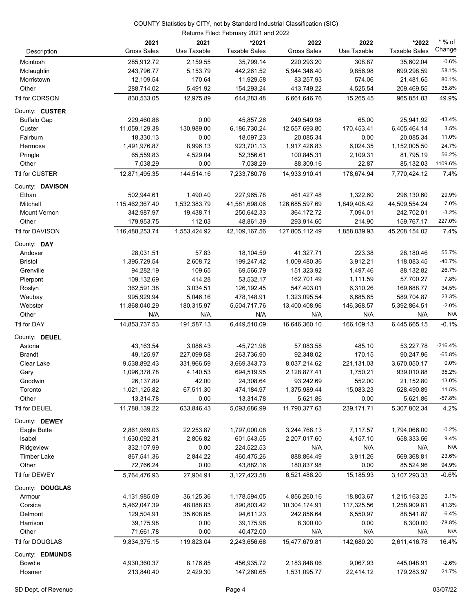|                                  | Returns Filed: February 2021 and 2022 |                     |                               |                            |                     |                               |                    |  |  |
|----------------------------------|---------------------------------------|---------------------|-------------------------------|----------------------------|---------------------|-------------------------------|--------------------|--|--|
| Description                      | 2021<br><b>Gross Sales</b>            | 2021<br>Use Taxable | *2021<br><b>Taxable Sales</b> | 2022<br><b>Gross Sales</b> | 2022<br>Use Taxable | *2022<br><b>Taxable Sales</b> | $*$ % of<br>Change |  |  |
| Mcintosh                         | 285,912.72                            | 2,159.55            | 35,799.14                     | 220,293.20                 | 308.87              | 35,602.04                     | $-0.6%$            |  |  |
| Mclaughlin                       | 243,796.77                            | 5,153.79            | 442,261.52                    | 5,944,346.40               | 9,856.98            | 699,298.59                    | 58.1%              |  |  |
| Morristown                       | 12,109.54                             | 170.64              | 11,929.58                     | 83,257.93                  | 574.06              | 21,481.65                     | 80.1%              |  |  |
| Other                            | 288,714.02                            | 5,491.92            | 154,293.24                    | 413,749.22                 | 4,525.54            | 209,469.55                    | 35.8%              |  |  |
| Ttl for CORSON                   | 830,533.05                            | 12,975.89           | 644,283.48                    | 6,661,646.76               | 15,265.45           | 965,851.83                    | 49.9%              |  |  |
| County: CUSTER                   |                                       |                     |                               |                            |                     |                               |                    |  |  |
| <b>Buffalo Gap</b>               | 229,460.86                            | 0.00                | 45,857.26                     | 249,549.98                 | 65.00               | 25,941.92                     | $-43.4%$           |  |  |
| Custer                           | 11,059,129.38                         | 130,989.00          | 6,186,730.24                  | 12,557,693.80              | 170,453.41          | 6,405,464.14                  | 3.5%               |  |  |
| Fairburn                         | 18,330.13                             | 0.00                | 18,097.23                     | 20,085.34                  | 0.00                | 20,085.34                     | 11.0%              |  |  |
| Hermosa                          | 1,491,976.87                          | 8,996.13            | 923,701.13                    | 1,917,426.83               | 6,024.35            | 1,152,005.50                  | 24.7%              |  |  |
| Pringle                          | 65,559.83                             | 4,529.04            | 52,356.61                     | 100,845.31                 | 2,109.31            | 81,795.19                     | 56.2%              |  |  |
| Other<br>Ttl for CUSTER          | 7,038.29<br>12,871,495.35             | 0.00<br>144,514.16  | 7,038.29<br>7,233,780.76      | 88,309.16<br>14,933,910.41 | 22.87<br>178,674.94 | 85,132.03<br>7,770,424.12     | 1109.6%<br>7.4%    |  |  |
|                                  |                                       |                     |                               |                            |                     |                               |                    |  |  |
| County: DAVISON<br>Ethan         | 502,944.61                            | 1,490.40            | 227,965.78                    | 461,427.48                 | 1,322.60            | 296,130.60                    | 29.9%              |  |  |
| Mitchell                         | 115,462,367.40                        | 1,532,383.79        | 41,581,698.06                 | 126,685,597.69             | 1,849,408.42        | 44,509,554.24                 | 7.0%               |  |  |
| <b>Mount Vernon</b>              | 342,987.97                            | 19,438.71           | 250,642.33                    | 364,172.72                 | 7,094.01            | 242,702.01                    | $-3.2%$            |  |  |
| Other                            | 179,953.75                            | 112.03              | 48,861.39                     | 293,914.60                 | 214.90              | 159,767.17                    | 227.0%             |  |  |
| Ttl for DAVISON                  | 116,488,253.74                        | 1,553,424.92        | 42,109,167.56                 | 127,805,112.49             | 1,858,039.93        | 45,208,154.02                 | 7.4%               |  |  |
| County: DAY                      |                                       |                     |                               |                            |                     |                               |                    |  |  |
| Andover                          | 28,031.51                             | 57.83               | 18,104.59                     | 41,327.71                  | 223.38              | 28,180.46                     | 55.7%              |  |  |
| <b>Bristol</b>                   | 1,395,729.54                          | 2,608.72            | 199,247.42                    | 1,009,480.36               | 3,912.21            | 118,083.45                    | $-40.7%$           |  |  |
| Grenville                        | 94,282.19                             | 109.65              | 69,566.79                     | 151,323.92                 | 1,497.46            | 88,132.82                     | 26.7%              |  |  |
| Pierpont                         | 109,132.69                            | 414.28              | 53,532.17                     | 162,701.49                 | 1,111.59            | 57,700.27                     | 7.8%               |  |  |
| Roslyn                           | 362,591.38                            | 3,034.51            | 126,192.45                    | 547,403.01                 | 6,310.26            | 169,688.77                    | 34.5%              |  |  |
| Waubay                           | 995,929.94                            | 5,046.16            | 478,148.91                    | 1,323,095.54               | 6,685.65            | 589,704.87                    | 23.3%              |  |  |
| Webster                          | 11,868,040.29                         | 180,315.97          | 5,504,717.76                  | 13,400,408.96              | 146,368.57          | 5,392,864.51                  | $-2.0%$            |  |  |
| Other                            | N/A                                   | N/A                 | N/A                           | N/A                        | N/A                 | N/A                           | N/A                |  |  |
| Ttl for DAY                      | 14,853,737.53                         | 191,587.13          | 6,449,510.09                  | 16,646,360.10              | 166,109.13          | 6,445,665.15                  | $-0.1%$            |  |  |
| County: DEUEL                    |                                       |                     |                               |                            |                     |                               |                    |  |  |
| Astoria                          | 43,163.54                             | 3,086.43            | -45,721.98                    | 57,083.58                  | 485.10              | 53,227.78                     | $-216.4%$          |  |  |
| Brandt                           | 49,125.97                             | 227,099.58          | 263,736.90                    | 92,348.02                  | 170.15              | 90,247.96                     | $-65.8%$           |  |  |
| Clear Lake                       | 9,538,892.43                          | 331,966.59          | 3,669,343.73                  | 8,037,214.62               | 221,131.03          | 3,670,050.17                  | 0.0%               |  |  |
| Gary                             | 1,096,378.78                          | 4,140.53            | 694,519.95                    | 2,128,877.41               | 1,750.21            | 939,010.88                    | 35.2%              |  |  |
| Goodwin                          | 26,137.89                             | 42.00               | 24,308.64                     | 93,242.69                  | 552.00              | 21,152.80                     | $-13.0%$           |  |  |
| Toronto                          | 1,021,125.82                          | 67,511.30           | 474,184.97                    | 1,375,989.44               | 15,083.23           | 528,490.89                    | 11.5%              |  |  |
| Other                            | 13,314.78                             | 0.00                | 13,314.78                     | 5,621.86                   | 0.00                | 5,621.86                      | $-57.8%$           |  |  |
| Ttl for DEUEL                    | 11,788,139.22                         | 633,846.43          | 5,093,686.99                  | 11,790,377.63              | 239, 171.71         | 5,307,802.34                  | 4.2%               |  |  |
| County: DEWEY                    |                                       |                     |                               |                            |                     |                               |                    |  |  |
| Eagle Butte                      | 2,861,969.03                          | 22,253.87           | 1,797,000.08                  | 3,244,768.13               | 7,117.57            | 1,794,066.00                  | $-0.2%$            |  |  |
| Isabel                           | 1,630,092.31                          | 2,806.82            | 601,543.55                    | 2,207,017.60               | 4,157.10            | 658,333.56                    | 9.4%               |  |  |
| Ridgeview                        | 332,107.99                            | 0.00                | 224,522.53                    | N/A                        | N/A                 | N/A                           | N/A                |  |  |
| <b>Timber Lake</b>               | 867,541.36                            | 2,844.22            | 460,475.26                    | 888,864.49                 | 3,911.26            | 569,368.81                    | 23.6%              |  |  |
| Other                            | 72,766.24                             | 0.00                | 43,882.16                     | 180,837.98                 | 0.00                | 85,524.96                     | 94.9%              |  |  |
| Ttl for DEWEY                    | 5,764,476.93                          | 27,904.91           | 3,127,423.58                  | 6,521,488.20               | 15,185.93           | 3,107,293.33                  | $-0.6%$            |  |  |
| County: DOUGLAS                  |                                       |                     |                               |                            |                     |                               |                    |  |  |
| Armour                           | 4,131,985.09                          | 36,125.36           | 1,178,594.05                  | 4,856,260.16               | 18,803.67           | 1,215,163.25                  | 3.1%               |  |  |
| Corsica                          | 5,462,047.39                          | 48,088.83           | 890,803.42                    | 10,304,174.91              | 117,325.56          | 1,258,909.81                  | 41.3%              |  |  |
| Delmont                          | 129,504.91                            | 35,608.85           | 94,611.23                     | 242,856.64                 | 6,550.97            | 88,541.87                     | $-6.4%$            |  |  |
| Harrison                         | 39,175.98                             | 0.00                | 39,175.98                     | 8,300.00                   | 0.00                | 8,300.00                      | $-78.8%$           |  |  |
| Other                            | 71,661.78                             | 0.00                | 40,472.00                     | N/A                        | N/A                 | N/A                           | N/A                |  |  |
| Ttl for DOUGLAS                  | 9,834,375.15                          | 119,823.04          | 2,243,656.68                  | 15,477,679.81              | 142,680.20          | 2,611,416.78                  | 16.4%              |  |  |
| County: <b>EDMUNDS</b><br>Bowdle | 4,930,360.37                          | 8,176.85            | 456,935.72                    | 2,183,848.06               | 9,067.93            | 445,048.91                    | $-2.6%$            |  |  |
| Hosmer                           | 213,840.40                            | 2,429.30            | 147,260.65                    | 1,531,095.77               | 22,414.12           | 179,283.97                    | 21.7%              |  |  |
|                                  |                                       |                     |                               |                            |                     |                               |                    |  |  |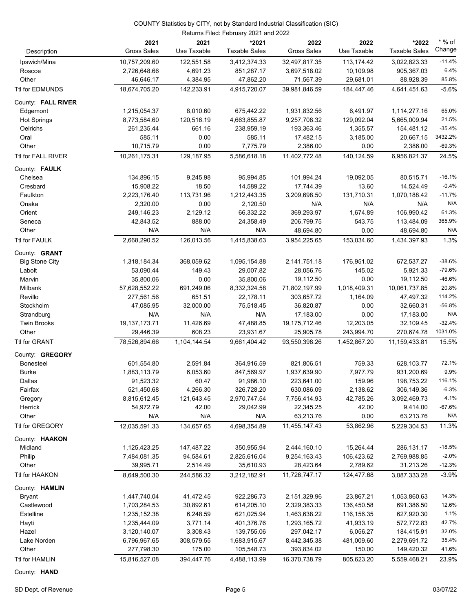| Description            | 2021<br><b>Gross Sales</b> | 2021<br>Use Taxable | *2021<br><b>Taxable Sales</b> | 2022<br><b>Gross Sales</b> | 2022<br>Use Taxable | *2022<br><b>Taxable Sales</b> | * % of<br>Change |
|------------------------|----------------------------|---------------------|-------------------------------|----------------------------|---------------------|-------------------------------|------------------|
| Ipswich/Mina           | 10,757,209.60              | 122,551.58          | 3,412,374.33                  | 32,497,817.35              | 113,174.42          | 3,022,823.33                  | $-11.4%$         |
| Roscoe                 | 2,726,648.66               | 4,691.23            | 851,287.17                    | 3,697,518.02               | 10,109.98           | 905,367.03                    | 6.4%             |
| Other                  | 46,646.17                  | 4,384.95            | 47,862.20                     | 71,567.39                  | 29,681.01           | 88,928.39                     | 85.8%            |
| <b>Ttl for EDMUNDS</b> | 18,674,705.20              | 142,233.91          | 4,915,720.07                  | 39,981,846.59              | 184,447.46          | 4,641,451.63                  | $-5.6%$          |
| County: FALL RIVER     |                            |                     |                               |                            |                     |                               |                  |
| Edgemont               | 1,215,054.37               | 8,010.60            | 675,442.22                    | 1,931,832.56               | 6,491.97            | 1,114,277.16                  | 65.0%            |
| <b>Hot Springs</b>     | 8,773,584.60               | 120,516.19          | 4,663,855.87                  | 9,257,708.32               | 129,092.04          | 5,665,009.94                  | 21.5%            |
| Oelrichs               | 261,235.44                 | 661.16              | 238,959.19                    | 193,363.46                 | 1,355.57            | 154,481.12                    | $-35.4%$         |
| Oral                   | 585.11                     | 0.00                | 585.11                        | 17,482.15                  | 3,185.00            | 20,667.15                     | 3432.2%          |
| Other                  | 10,715.79                  | 0.00                | 7,775.79                      | 2,386.00                   | 0.00                | 2,386.00                      | $-69.3%$         |
| Ttl for FALL RIVER     | 10,261,175.31              | 129, 187.95         | 5,586,618.18                  | 11,402,772.48              | 140,124.59          | 6,956,821.37                  | 24.5%            |
| County: FAULK          |                            |                     |                               |                            |                     |                               |                  |
| Chelsea                | 134,896.15                 | 9,245.98            | 95,994.85                     | 101,994.24                 | 19,092.05           | 80,515.71                     | $-16.1%$         |
| Cresbard               | 15,908.22                  | 18.50               | 14,589.22                     | 17,744.39                  | 13.60               | 14,524.49                     | $-0.4%$          |
| Faulkton               | 2,223,176.40               | 113,731.96          | 1,212,443.35                  | 3,209,698.50               | 131,710.31          | 1,070,188.42                  | $-11.7%$         |
| Onaka                  | 2,320.00                   | 0.00                | 2,120.50                      | N/A                        | N/A                 | N/A                           | N/A              |
| Orient                 | 249,146.23                 | 2,129.12            | 66,332.22                     | 369,293.97                 | 1,674.89            | 106,990.42                    | 61.3%            |
| Seneca                 | 42,843.52                  | 888.00              | 24,358.49                     | 206,799.75                 | 543.75              | 113,484.09                    | 365.9%           |
| Other                  | N/A                        | N/A                 | N/A                           | 48,694.80                  | 0.00                | 48,694.80                     | N/A              |
| Ttl for FAULK          | 2,668,290.52               | 126,013.56          | 1,415,838.63                  | 3,954,225.65               | 153,034.60          | 1,434,397.93                  | 1.3%             |
| County: <b>GRANT</b>   |                            |                     |                               |                            |                     |                               |                  |
| <b>Big Stone City</b>  | 1,318,184.34               | 368,059.62          | 1,095,154.88                  | 2,141,751.18               | 176,951.02          | 672,537.27                    | $-38.6%$         |
| Labolt                 | 53,090.44                  | 149.43              | 29,007.82                     | 28,056.76                  | 145.02              | 5,921.33                      | $-79.6%$         |
| Marvin                 | 35,800.06                  | 0.00                | 35,800.06                     | 19,112.50                  | 0.00                | 19,112.50                     | $-46.6%$         |
| Milbank                | 57,628,552.22              | 691,249.06          | 8,332,324.58                  | 71,802,197.99              | 1,018,409.31        | 10,061,737.85                 | 20.8%            |
| Revillo                | 277,561.56                 | 651.51              | 22,178.11                     | 303,657.72                 | 1,164.09            | 47,497.32                     | 114.2%           |
| Stockholm              | 47,085.95                  | 32,000.00           | 75,518.45                     | 36,820.87                  | 0.00                | 32,660.31                     | $-56.8%$         |
| Strandburg             | N/A                        | N/A                 | N/A                           | 17,183.00                  | 0.00                | 17,183.00                     | N/A              |
| <b>Twin Brooks</b>     | 19, 137, 173. 71           | 11,426.69           | 47,488.85                     | 19,175,712.46              | 12,203.05           | 32,109.45                     | $-32.4%$         |
| Other                  | 29,446.39                  | 608.23              | 23,931.67                     | 25,905.78                  | 243,994.70          | 270,674.78                    | 1031.0%          |
| Ttl for GRANT          | 78,526,894.66              | 1,104,144.54        | 9.661.404.42                  | 93,550,398.26              | 1,452,867.20        | 11,159,433.81                 | 15.5%            |
| County: GREGORY        |                            |                     |                               |                            |                     |                               |                  |
| Bonesteel              | 601,554.80                 | 2,591.84            | 364,916.59                    | 821,806.51                 | 759.33              | 628,103.77                    | 72.1%            |
| <b>Burke</b>           | 1,883,113.79               | 6,053.60            | 847,569.97                    | 1,937,639.90               | 7,977.79            | 931,200.69                    | 9.9%             |
| Dallas                 | 91,523.32                  | 60.47               | 91,986.10                     | 223,641.00                 | 159.96              | 198,753.22                    | 116.1%           |
| Fairfax                | 521,450.68                 | 4,266.30            | 326,728.20                    | 630,086.09                 | 2,138.62            | 306,149.36                    | $-6.3%$          |
| Gregory                | 8,815,612.45               | 121,643.45          | 2,970,747.54                  | 7,756,414.93               | 42,785.26           | 3,092,469.73                  | 4.1%             |
| Herrick                | 54,972.79                  | 42.00               | 29,042.99                     | 22,345.25                  | 42.00               | 9,414.00                      | $-67.6%$         |
| Other                  | N/A                        | N/A                 | N/A                           | 63,213.76                  | 0.00                | 63,213.76                     | N/A              |
| Ttl for GREGORY        | 12,035,591.33              | 134,657.65          | 4,698,354.89                  | 11,455,147.43              | 53,862.96           | 5,229,304.53                  | 11.3%            |
| County: HAAKON         |                            |                     |                               |                            |                     |                               |                  |
| Midland                | 1,125,423.25               | 147,487.22          | 350,955.94                    | 2,444,160.10               | 15,264.44           | 286,131.17                    | $-18.5%$         |
| Philip                 | 7,484,081.35               | 94,584.61           | 2,825,616.04                  | 9,254,163.43               | 106,423.62          | 2,769,988.85                  | $-2.0%$          |
| Other                  | 39,995.71                  | 2,514.49            | 35,610.93                     | 28,423.64                  | 2,789.62            | 31,213.26                     | $-12.3%$         |
| Ttl for HAAKON         | 8,649,500.30               | 244,586.32          | 3,212,182.91                  | 11,726,747.17              | 124,477.68          | 3,087,333.28                  | $-3.9%$          |
| County: HAMLIN         |                            |                     |                               |                            |                     |                               |                  |
| <b>Bryant</b>          | 1,447,740.04               | 41,472.45           | 922,286.73                    | 2,151,329.96               | 23,867.21           | 1,053,860.63                  | 14.3%            |
| Castlewood             | 1,703,284.53               | 30,892.61           | 614,205.10                    | 2,329,383.33               | 136,450.58          | 691,386.50                    | 12.6%            |
| Estelline              | 1,235,152.38               | 6,248.59            | 621,025.94                    | 1,463,638.22               | 116,156.35          | 627,920.30                    | 1.1%             |
| Hayti                  | 1,235,444.09               | 3,771.14            | 401,376.76                    | 1,293,165.72               | 41,933.19           | 572,772.83                    | 42.7%            |
| Hazel                  | 3,120,140.07               | 3,308.43            | 139,755.06                    | 297,042.17                 | 6,056.27            | 184,415.91                    | 32.0%            |
| Lake Norden            | 6,796,967.65               | 308,579.55          | 1,683,915.67                  | 8,442,345.38               | 481,009.60          | 2,279,691.72                  | 35.4%            |
| Other                  | 277,798.30                 | 175.00              | 105,548.73                    | 393,834.02                 | 150.00              | 149,420.32                    | 41.6%            |
| Ttl for HAMLIN         | 15,816,527.08              | 394,447.76          | 4,488,113.99                  | 16,370,738.79              | 805,623.20          | 5,559,468.21                  | 23.9%            |

County: **HAND**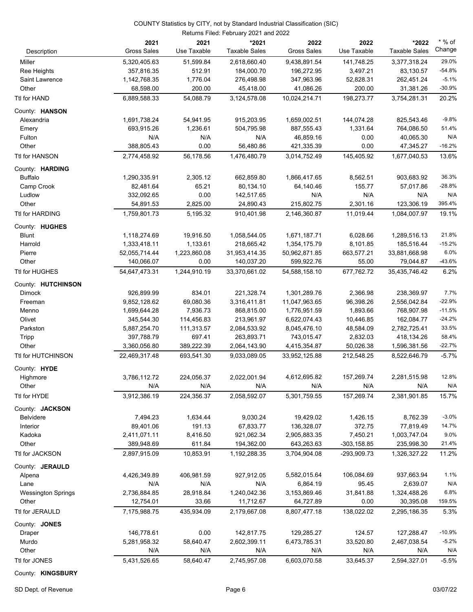| Description               | 2021<br><b>Gross Sales</b> | 2021<br>Use Taxable | *2021<br><b>Taxable Sales</b> | 2022<br><b>Gross Sales</b> | 2022<br>Use Taxable | *2022<br><b>Taxable Sales</b> | $*$ % of<br>Change |
|---------------------------|----------------------------|---------------------|-------------------------------|----------------------------|---------------------|-------------------------------|--------------------|
| Miller                    | 5,320,405.63               | 51,599.84           | 2,618,660.40                  | 9,438,891.54               | 141,748.25          | 3,377,318.24                  | 29.0%              |
| Ree Heights               | 357,816.35                 | 512.91              | 184,000.70                    | 196,272.95                 | 3,497.21            | 83,130.57                     | $-54.8%$           |
| Saint Lawrence            | 1,142,768.35               | 1,776.04            | 276,498.98                    | 347,963.96                 | 52,828.31           | 262,451.24                    | $-5.1%$            |
| Other                     | 68,598.00                  | 200.00              | 45,418.00                     | 41,086.26                  | 200.00              | 31,381.26                     | $-30.9%$           |
| Ttl for HAND              | 6,889,588.33               | 54,088.79           | 3,124,578.08                  | 10,024,214.71              | 198,273.77          | 3,754,281.31                  | 20.2%              |
| County: HANSON            |                            |                     |                               |                            |                     |                               |                    |
| Alexandria                | 1,691,738.24               | 54,941.95           | 915,203.95                    | 1,659,002.51               | 144,074.28          | 825,543.46                    | $-9.8%$            |
| Emery                     | 693,915.26                 | 1,236.61            | 504,795.98                    | 887,555.43                 | 1,331.64            | 764,086.50                    | 51.4%              |
| Fulton                    | N/A                        | N/A                 | N/A                           | 46,859.16                  | 0.00                | 40,065.30                     | N/A                |
| Other                     | 388,805.43                 | 0.00                | 56,480.86                     | 421,335.39                 | 0.00                | 47,345.27                     | $-16.2%$           |
| Ttl for HANSON            | 2,774,458.92               | 56,178.56           | 1,476,480.79                  | 3,014,752.49               | 145,405.92          | 1,677,040.53                  | 13.6%              |
| County: HARDING           |                            |                     |                               |                            |                     |                               |                    |
| <b>Buffalo</b>            | 1,290,335.91               | 2,305.12            | 662,859.80                    | 1,866,417.65               | 8,562.51            | 903,683.92                    | 36.3%              |
| Camp Crook                | 82,481.64                  | 65.21               | 80,134.10                     | 64,140.46                  | 155.77              | 57,017.86                     | $-28.8%$           |
| Ludlow                    | 332,092.65                 | 0.00                | 142,517.65                    | N/A                        | N/A                 | N/A                           | N/A                |
| Other                     | 54,891.53                  | 2,825.00            | 24,890.43                     | 215,802.75                 | 2,301.16            | 123,306.19                    | 395.4%             |
| Ttl for HARDING           | 1,759,801.73               | 5,195.32            | 910,401.98                    | 2,146,360.87               | 11,019.44           | 1,084,007.97                  | 19.1%              |
| County: HUGHES            |                            |                     |                               |                            |                     |                               |                    |
| <b>Blunt</b>              | 1,118,274.69               | 19,916.50           | 1,058,544.05                  | 1,671,187.71               | 6,028.66            | 1,289,516.13                  | 21.8%              |
| Harrold                   | 1,333,418.11               | 1,133.61            | 218,665.42                    | 1,354,175.79               | 8,101.85            | 185,516.44                    | $-15.2%$           |
| Pierre                    | 52,055,714.44              | 1,223,860.08        | 31,953,414.35                 | 50,962,871.85              | 663,577.21          | 33,881,668.98                 | 6.0%               |
| Other                     | 140,066.07                 | 0.00                | 140,037.20                    | 599,922.76                 | 55.00               | 79,044.87                     | $-43.6%$           |
| Ttl for HUGHES            | 54,647,473.31              | 1,244,910.19        | 33,370,661.02                 | 54,588,158.10              | 677,762.72          | 35,435,746.42                 | 6.2%               |
| County: HUTCHINSON        |                            |                     |                               |                            |                     |                               |                    |
| <b>Dimock</b>             | 926,899.99                 | 834.01              | 221,328.74                    | 1,301,289.76               | 2,366.98            | 238,369.97                    | 7.7%               |
| Freeman                   | 9,852,128.62               | 69,080.36           | 3,316,411.81                  | 11,047,963.65              | 96,398.26           | 2,556,042.84                  | $-22.9%$           |
| Menno                     | 1,699,644.28               | 7,936.73            | 868,815.00                    | 1,776,951.59               | 1,893.66            | 768,907.98                    | $-11.5%$           |
| Olivet                    | 345,544.30                 | 114,456.83          | 213,961.97                    | 6,622,074.43               | 10,446.85           | 162,084.77                    | $-24.2%$           |
| Parkston                  | 5,887,254.70               | 111,313.57          | 2,084,533.92                  | 8,045,476.10               | 48,584.09           | 2,782,725.41                  | 33.5%              |
| Tripp                     | 397,788.79                 | 697.41              | 263,893.71                    | 743,015.47                 | 2,832.03            | 418,134.26                    | 58.4%              |
| Other                     | 3,360,056.80               | 389,222.39          | 2,064,143.90                  | 4,415,354.87               | 50,026.38           | 1,596,381.56                  | $-22.7%$           |
| Ttl for HUTCHINSON        | 22,469,317.48              | 693,541.30          | 9.033.089.05                  | 33,952,125.88              | 212,548.25          | 8,522,646.79                  | $-5.7%$            |
| County: HYDE              |                            |                     |                               |                            |                     |                               |                    |
| Highmore                  | 3,786,112.72               | 224,056.37          | 2,022,001.94                  | 4,612,695.82               | 157,269.74          | 2,281,515.98                  | 12.8%              |
| Other                     | N/A                        | N/A                 | N/A                           | N/A                        | N/A                 | N/A                           | N/A                |
| Ttl for HYDE              | 3,912,386.19               | 224,356.37          | 2,058,592.07                  | 5,301,759.55               | 157,269.74          | 2,381,901.85                  | 15.7%              |
| County: JACKSON           |                            |                     |                               |                            |                     |                               |                    |
| Belvidere                 | 7,494.23                   | 1,634.44            | 9,030.24                      | 19,429.02                  | 1,426.15            | 8,762.39                      | $-3.0%$            |
| Interior                  | 89,401.06                  | 191.13              | 67,833.77                     | 136,328.07                 | 372.75              | 77,819.49                     | 14.7%              |
| Kadoka                    | 2,411,071.11               | 8,416.50            | 921,062.34                    | 2,905,883.35               | 7,450.21            | 1,003,747.04                  | 9.0%               |
| Other                     | 389,948.69                 | 611.84              | 194,362.00                    | 643,263.63                 | $-303, 158.85$      | 235,998.30                    | 21.4%              |
| Ttl for JACKSON           | 2,897,915.09               | 10,853.91           | 1,192,288.35                  | 3,704,904.08               | -293,909.73         | 1,326,327.22                  | 11.2%              |
| County: JERAULD           |                            |                     |                               |                            |                     |                               |                    |
| Alpena                    | 4,426,349.89               | 406,981.59          | 927,912.05                    | 5,582,015.64               | 106,084.69          | 937,663.94                    | 1.1%               |
| Lane                      | N/A                        | N/A                 | N/A                           | 6,864.19                   | 95.45               | 2,639.07                      | N/A                |
| <b>Wessington Springs</b> | 2,736,884.85               | 28,918.84           | 1,240,042.36                  | 3,153,869.46               | 31,841.88           | 1,324,488.26                  | 6.8%               |
| Other                     | 12,754.01                  | 33.66               | 11,712.67                     | 64,727.89                  | 0.00                | 30,395.08                     | 159.5%             |
| Ttl for JERAULD           | 7,175,988.75               | 435,934.09          | 2,179,667.08                  | 8,807,477.18               | 138,022.02          | 2,295,186.35                  | 5.3%               |
| County: JONES             |                            |                     |                               |                            |                     |                               |                    |
| Draper                    | 146,778.61                 | 0.00                | 142,817.75                    | 129,285.27                 | 124.57              | 127,288.47                    | $-10.9%$           |
| Murdo                     | 5,281,958.32               | 58,640.47           | 2,602,399.11                  | 6,473,785.31               | 33,520.80           | 2,467,038.54                  | $-5.2%$            |
| Other                     | N/A                        | N/A                 | N/A                           | N/A                        | N/A                 | N/A                           | N/A                |
| Ttl for JONES             | 5,431,526.65               | 58,640.47           | 2,745,957.08                  | 6,603,070.58               | 33,645.37           | 2,594,327.01                  | $-5.5%$            |
|                           |                            |                     |                               |                            |                     |                               |                    |

County: **KINGSBURY**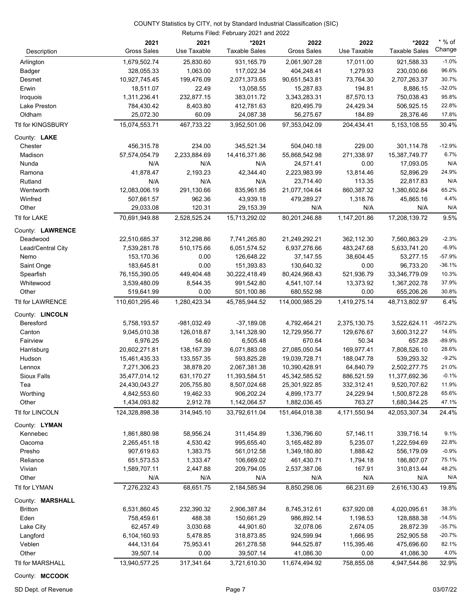|                          | 2021<br><b>Gross Sales</b> | 2021<br>Use Taxable    | *2021<br><b>Taxable Sales</b> | 2022<br><b>Gross Sales</b> | 2022<br>Use Taxable    | *2022<br><b>Taxable Sales</b> | $*$ % of<br>Change |
|--------------------------|----------------------------|------------------------|-------------------------------|----------------------------|------------------------|-------------------------------|--------------------|
| Description              |                            |                        |                               |                            |                        |                               |                    |
| Arlington                | 1,679,502.74               | 25,830.60              | 931,165.79                    | 2,061,907.28               | 17,011.00              | 921,588.33                    | $-1.0%$            |
| Badger                   | 328,055.33                 | 1,063.00               | 117,022.34                    | 404,248.41                 | 1,279.93               | 230,030.66                    | 96.6%<br>30.7%     |
| Desmet                   | 10,927,745.45              | 199,476.09             | 2,071,373.65                  | 90,651,543.81              | 73,764.30              | 2,707,263.37                  | $-32.0%$           |
| Erwin                    | 18,511.07                  | 22.49                  | 13,058.55                     | 15,287.83                  | 194.81                 | 8,886.15                      | 95.8%              |
| Iroquois<br>Lake Preston | 1,311,236.41<br>784,430.42 | 232,877.15<br>8,403.80 | 383,011.72                    | 3,343,283.31<br>820,495.79 | 87,570.13<br>24,429.34 | 750,038.43<br>506,925.15      | 22.8%              |
| Oldham                   | 25,072.30                  | 60.09                  | 412,781.63<br>24,087.38       | 56,275.67                  | 184.89                 | 28,376.46                     | 17.8%              |
| Ttl for KINGSBURY        | 15,074,553.71              | 467,733.22             | 3,952,501.06                  | 97,353,042.09              | 204,434.41             | 5, 153, 108.55                | 30.4%              |
| County: LAKE             |                            |                        |                               |                            |                        |                               |                    |
| Chester                  | 456,315.78                 | 234.00                 | 345,521.34                    | 504,040.18                 | 229.00                 | 301,114.78                    | $-12.9%$           |
| Madison                  | 57,574,054.79              | 2,233,884.69           | 14,416,371.86                 | 55,868,542.98              | 271,338.97             | 15,387,749.77                 | 6.7%               |
| Nunda                    | N/A                        | N/A                    | N/A                           | 24,571.41                  | 0.00                   | 17,093.05                     | N/A                |
| Ramona                   | 41,878.47                  | 2,193.23               | 42,344.40                     | 2,223,983.99               | 13,814.46              | 52,896.29                     | 24.9%              |
| Rutland                  | N/A                        | N/A                    | N/A                           | 23,714.40                  | 113.35                 | 22,817.83                     | N/A                |
| Wentworth                | 12,083,006.19              | 291,130.66             | 835,961.85                    | 21,077,104.64              | 860,387.32             | 1,380,602.84                  | 65.2%              |
| Winfred                  | 507,661.57                 | 962.36                 | 43,939.18                     | 479,289.27                 | 1,318.76               | 45,865.16                     | 4.4%               |
| Other                    | 29,033.08                  | 120.31                 | 29,153.39                     | N/A                        | N/A                    | N/A                           | N/A                |
| Ttl for LAKE             | 70.691.949.88              | 2,528,525.24           | 15,713,292.02                 | 80,201,246.88              | 1,147,201.86           | 17,208,139.72                 | 9.5%               |
| County: LAWRENCE         |                            |                        |                               |                            |                        |                               |                    |
| Deadwood                 | 22,510,685.37              | 312,298.86             | 7,741,265.80                  | 21,249,292.21              | 362,112.30             | 7,560,863.29                  | $-2.3%$            |
| Lead/Central City        | 7,539,281.78               | 510,175.66             | 6,051,574.52                  | 6,937,276.66               | 483,247.68             | 5,633,741.20                  | $-6.9%$            |
| Nemo                     | 153,170.36                 | 0.00                   | 126,648.22                    | 37,147.55                  | 38,604.45              | 53,277.15                     | $-57.9%$           |
| Saint Onge               | 183,645.81                 | 0.00                   | 151,393.83                    | 130,640.32                 | 0.00                   | 96,733.20                     | $-36.1%$           |
| Spearfish                | 76,155,390.05              | 449,404.48             | 30,222,418.49                 | 80,424,968.43              | 521,936.79             | 33,346,779.09                 | 10.3%              |
| Whitewood                | 3,539,480.09               | 8,544.35               | 991,542.80                    | 4,541,107.14               | 13,373.92              | 1,367,202.78                  | 37.9%              |
| Other                    | 519,641.99                 | 0.00                   | 501,100.86                    | 680,552.98                 | 0.00                   | 655,206.26                    | 30.8%              |
| Ttl for LAWRENCE         | 110,601,295.46             | 1,280,423.34           | 45,785,944.52                 | 114,000,985.29             | 1,419,275.14           | 48,713,802.97                 | 6.4%               |
| County: LINCOLN          |                            |                        |                               |                            |                        |                               |                    |
| Beresford                | 5,758,193.57               | -981,032.49            | $-37,189.08$                  | 4,792,464.21               | 2,375,130.75           | 3,522,624.11                  | -9572.2%           |
| Canton                   | 9,045,010.38               | 126,018.87             | 3,141,328.90                  | 12,729,956.77              | 129,676.67             | 3,600,312.27                  | 14.6%              |
| Fairview                 | 6,976.25                   | 54.60                  | 6,505.48                      | 670.64                     | 50.34                  | 657.28                        | $-89.9%$           |
| Harrisburg               | 20,602,271.81              | 138,167.39             | 6,071,883.08                  | 27,085,050.54              | 169,977.41             | 7,808,526.10                  | 28.6%              |
| Hudson                   | 15,461,435.33              | 133,557.35             | 593,825.28                    | 19,039,728.71              | 188,047.78             | 539,293.32                    | $-9.2%$            |
| Lennox                   | 7,271,306.23               | 38,878.20              | 2,067,381.38                  | 10,390,428.91              | 64,840.79              | 2,502,277.75                  | 21.0%              |
| Sioux Falls              | 35,477,014.12              | 631,170.27             | 11,393,584.51                 | 45,342,585.52              | 886,521.59             | 11,377,692.36                 | $-0.1%$            |
| lea                      | 24,430,043.27              | 205,755.80             | 8,507,024.68                  | 25,301,922.85              | 332,312.41             | 9,520,707.62                  | 11.9%              |
| Worthing                 | 4,842,553.60               | 19,462.33              | 906,202.24                    | 4,899,173.77               | 24,229.94              | 1,500,872.28                  | 65.6%              |
| Other                    | 1,434,093.82               | 2,912.78               | 1,142,064.57                  | 1,882,036.45               | 763.27                 | 1,680,344.25                  | 47.1%              |
| Ttl for LINCOLN          | 124,328,898.38             | 314,945.10             | 33,792,611.04                 | 151,464,018.38             | 4,171,550.94           | 42,053,307.34                 | 24.4%              |
| County: LYMAN            |                            |                        |                               |                            |                        |                               |                    |
| Kennebec                 | 1,861,880.98               | 58,956.24              | 311,454.89                    | 1,336,796.60               | 57,146.11              | 339,716.14                    | 9.1%               |
| Oacoma                   | 2,265,451.18               | 4,530.42               | 995,655.40                    | 3,165,482.89               | 5,235.07               | 1,222,594.69                  | 22.8%              |
| Presho                   | 907,619.63<br>651,573.53   | 1,383.75               | 561,012.58                    | 1,349,180.80               | 1,888.42               | 556,179.09                    | $-0.9%$<br>75.1%   |
| Reliance<br>Vivian       |                            | 1,333.47<br>2,447.88   | 106,669.02                    | 461,430.71                 | 1,794.18               | 186,807.07                    | 48.2%              |
| Other                    | 1,589,707.11<br>N/A        | N/A                    | 209,794.05<br>N/A             | 2,537,387.06<br>N/A        | 167.91<br>N/A          | 310,813.44<br>N/A             | N/A                |
| Ttl for LYMAN            | 7,276,232.43               | 68,651.75              | 2,184,585.94                  | 8,850,298.06               | 66,231.69              | 2,616,130.43                  | 19.8%              |
|                          |                            |                        |                               |                            |                        |                               |                    |
| County: MARSHALL         |                            |                        |                               |                            |                        |                               |                    |
| <b>Britton</b>           | 6,531,860.45               | 232,390.32             | 2,906,387.84                  | 8,745,312.61               | 637,920.08             | 4,020,095.61                  | 38.3%<br>$-14.5%$  |
| Eden                     | 758,459.61                 | 488.38                 | 150,661.29                    | 986,892.14                 | 1,198.53               | 128,888.38                    | $-35.7%$           |
| Lake City                | 62,457.49                  | 3,030.68               | 44,901.60                     | 32,078.06                  | 2,674.05               | 28,872.39                     | $-20.7%$           |
| Langford<br>Veblen       | 6,104,160.93<br>444,131.64 | 5,478.85<br>75,953.41  | 318,873.85<br>261,278.58      | 924,599.94<br>944,525.87   | 1,666.95<br>115,395.46 | 252,905.58<br>475,696.60      | 82.1%              |
| Other                    | 39,507.14                  | 0.00                   | 39,507.14                     | 41,086.30                  | 0.00                   | 41,086.30                     | 4.0%               |
|                          |                            |                        |                               |                            |                        |                               | 32.9%              |
| Ttl for MARSHALL         | 13,940,577.25              | 317,341.64             | 3,721,610.30                  | 11,674,494.92              | 758,855.08             | 4,947,544.86                  |                    |

County: **MCCOOK**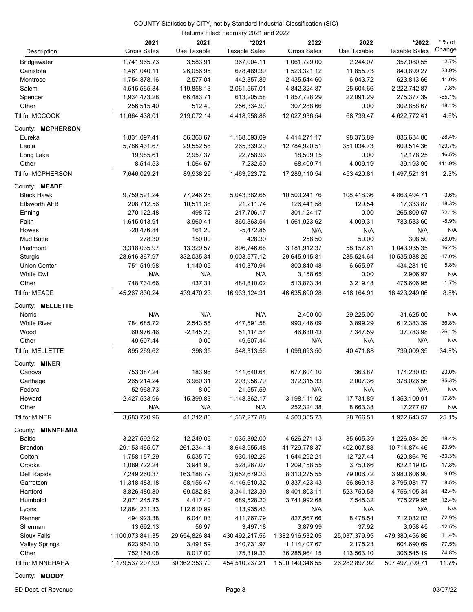| Description                      | 2021<br><b>Gross Sales</b> | 2021<br>Use Taxable   | *2021<br><b>Taxable Sales</b> | 2022<br><b>Gross Sales</b> | 2022<br>Use Taxable | *2022<br><b>Taxable Sales</b> | $*$ % of<br>Change |
|----------------------------------|----------------------------|-----------------------|-------------------------------|----------------------------|---------------------|-------------------------------|--------------------|
| <b>Bridgewater</b>               | 1,741,965.73               | 3,583.91              | 367,004.11                    | 1,061,729.00               | 2,244.07            | 357,080.55                    | $-2.7%$            |
| Canistota                        | 1,461,040.11               | 26,056.95             | 678,489.39                    | 1,523,321.12               | 11,855.73           | 840,899.27                    | 23.9%              |
| Montrose                         | 1,754,878.16               | 2,577.04              | 442,357.89                    | 2,435,544.60               | 6,943.72            | 623,813.66                    | 41.0%              |
| Salem                            | 4,515,565.34               | 119,858.13            | 2,061,567.01                  | 4,842,324.87               | 25,604.66           | 2,222,742.87                  | 7.8%               |
| Spencer                          | 1,934,473.28               | 66,483.71             | 613,205.58                    | 1,857,728.29               | 22,091.29           | 275,377.39                    | $-55.1%$           |
| Other                            | 256,515.40                 | 512.40                | 256,334.90                    | 307,288.66                 | 0.00                | 302,858.67                    | 18.1%              |
| Ttl for MCCOOK                   | 11,664,438.01              | 219,072.14            | 4,418,958.88                  | 12,027,936.54              | 68,739.47           | 4,622,772.41                  | 4.6%               |
|                                  |                            |                       |                               |                            |                     |                               |                    |
| County: MCPHERSON                |                            |                       |                               |                            |                     |                               |                    |
| Eureka                           | 1,831,097.41               | 56,363.67             | 1,168,593.09                  | 4,414,271.17               | 98,376.89           | 836,634.80                    | $-28.4%$           |
| Leola                            | 5,786,431.67               | 29,552.58             | 265,339.20                    | 12,784,920.51              | 351,034.73          | 609,514.36                    | 129.7%<br>$-46.5%$ |
| Long Lake<br>Other               | 19,985.61<br>8,514.53      | 2,957.37              | 22,758.93<br>7,232.50         | 18,509.15<br>68,409.71     | 0.00<br>4,009.19    | 12,178.25<br>39,193.90        | 441.9%             |
| Ttl for MCPHERSON                | 7,646,029.21               | 1,064.67<br>89,938.29 | 1,463,923.72                  | 17,286,110.54              | 453,420.81          | 1,497,521.31                  | 2.3%               |
|                                  |                            |                       |                               |                            |                     |                               |                    |
| County: <b>MEADE</b>             |                            |                       |                               |                            |                     |                               |                    |
| <b>Black Hawk</b>                | 9,759,521.24               | 77,246.25             | 5,043,382.65                  | 10,500,241.76              | 108,418.36          | 4,863,494.71                  | $-3.6%$            |
| <b>Ellsworth AFB</b>             | 208,712.56                 | 10,511.38             | 21,211.74                     | 126,441.58                 | 129.54              | 17,333.87                     | $-18.3%$           |
| Enning                           | 270,122.48                 | 498.72                | 217,706.17                    | 301,124.17                 | 0.00                | 265,809.67                    | 22.1%              |
| Faith                            | 1,615,013.91               | 3,960.41              | 860,363.54                    | 1,561,923.62               | 4,009.31            | 783,533.60                    | $-8.9%$            |
| Howes                            | $-20,476.84$               | 161.20                | $-5,472.85$                   | N/A                        | N/A                 | N/A                           | N/A                |
| <b>Mud Butte</b>                 | 278.30                     | 150.00                | 428.30                        | 258.50                     | 50.00               | 308.50                        | $-28.0%$<br>16.4%  |
| Piedmont                         | 3,318,035.97               | 13,329.57             | 896,746.68                    | 3,181,912.37               | 58,157.61           | 1,043,935.35                  | 17.0%              |
| Sturgis                          | 28,616,367.97              | 332,035.34            | 9,003,577.12                  | 29,645,915.81              | 235,524.64          | 10,535,038.25                 | 5.8%               |
| <b>Union Center</b><br>White Owl | 751,519.98<br>N/A          | 1,140.05<br>N/A       | 410,370.94<br>N/A             | 800,840.48<br>3,158.65     | 6,655.97<br>0.00    | 434,281.19<br>2,906.97        | N/A                |
| Other                            | 748,734.66                 | 437.31                | 484,810.02                    | 513,873.34                 | 3,219.48            | 476,606.95                    | $-1.7%$            |
| Ttl for MEADE                    | 45,267,830.24              | 439,470.23            | 16,933,124.31                 | 46,635,690.28              | 416,164.91          | 18,423,249.06                 | 8.8%               |
|                                  |                            |                       |                               |                            |                     |                               |                    |
| County: MELLETTE                 |                            |                       |                               |                            |                     |                               |                    |
| Norris                           | N/A                        | N/A                   | N/A                           | 2,400.00                   | 29,225.00           | 31,625.00                     | N/A                |
| <b>White River</b>               | 784,685.72                 | 2,543.55              | 447,591.58                    | 990,446.09                 | 3,899.29            | 612,383.39                    | 36.8%              |
| Wood                             | 60,976.46                  | $-2,145.20$           | 51,114.54                     | 46,630.43                  | 7,347.59            | 37,783.98                     | $-26.1%$           |
| Other                            | 49,607.44                  | 0.00                  | 49,607.44                     | N/A                        | N/A                 | N/A                           | N/A                |
| Ttl for MELLETTE                 | 895,269.62                 | 398.35                | 548,313.56                    | 1,096,693.50               | 40,471.88           | 739,009.35                    | 34.8%              |
| County: <b>MINER</b>             |                            |                       |                               |                            |                     |                               |                    |
| Canova                           | 753,387.24                 | 183.96                | 141,640.64                    | 677,604.10                 | 363.87              | 174,230.03                    | 23.0%              |
| Carthage                         | 265,214.24                 | 3,960.31              | 203,956.79                    | 372,315.33                 | 2,007.36            | 378,026.56                    | 85.3%              |
| Fedora                           | 52,968.73                  | 8.00                  | 21,557.59                     | N/A                        | N/A                 | N/A                           | N/A                |
| Howard                           | 2,427,533.96               | 15,399.83             | 1,148,362.17                  | 3,198,111.92               | 17,731.89           | 1,353,109.91                  | 17.8%              |
| Other                            | N/A                        | N/A                   | N/A                           | 252,324.38                 | 8,663.38            | 17,277.07                     | N/A                |
| Ttl for MINER                    | 3,683,720.96               | 41,312.80             | 1,537,277.88                  | 4,500,355.73               | 28,766.51           | 1,922,643.57                  | 25.1%              |
| County: MINNEHAHA                |                            |                       |                               |                            |                     |                               |                    |
| <b>Baltic</b>                    | 3,227,592.92               | 12,249.05             | 1,035,392.00                  | 4,626,271.13               | 35,605.39           | 1,226,084.29                  | 18.4%              |
| Brandon                          | 29, 153, 465.07            | 261,234.14            | 8,648,955.48                  | 41,729,778.37              | 402,007.88          | 10,714,874.46                 | 23.9%              |
| Colton                           | 1,758,157.29               | 5,035.70              | 930,192.26                    | 1,644,292.21               | 12,727.44           | 620,864.76                    | $-33.3%$           |
| Crooks                           | 1,089,722.24               | 3,941.90              | 528,287.07                    | 1,209,158.55               | 3,750.66            | 622,119.02                    | 17.8%              |
| Dell Rapids                      | 7,249,260.37               | 163,188.79            | 3,652,679.23                  | 8,310,275.55               | 79,006.72           | 3,980,606.90                  | 9.0%               |
| Garretson                        | 11,318,483.18              | 58,156.47             | 4,146,610.32                  | 9,337,423.43               | 56,869.18           | 3,795,081.77                  | $-8.5%$            |
| Hartford                         | 8,826,480.80               | 69,082.83             | 3,341,123.39                  | 8,401,803.11               | 523,750.58          | 4,756,105.34                  | 42.4%              |
| Humboldt                         | 2,071,245.75               | 4,417.40              | 689,528.20                    | 3,741,992.68               | 7,545.32            | 775,279.95                    | 12.4%              |
| Lyons                            | 12,884,231.33              | 112,610.99            | 113,935.43                    | N/A                        | N/A                 | N/A                           | N/A                |
| Renner                           | 494,923.38                 | 6,044.03              | 411,767.79                    | 827,567.66                 | 8,478.54            | 712,032.03                    | 72.9%              |
| Sherman                          | 13,692.13                  | 56.97                 | 3,497.18                      | 3,879.99                   | 37.92               | 3,058.45                      | $-12.5%$           |
| Sioux Falls                      | 1,100,073,841.35           | 29,654,826.84         | 430,492,217.56                | 1,382,916,532.05           | 25,037,379.95       | 479,380,456.86                | 11.4%              |
| Valley Springs                   | 623,954.10                 | 3,491.59              | 340,731.97                    | 1,114,407.67               | 2,175.23            | 604,690.69                    | 77.5%<br>74.8%     |
| Other                            | 752,158.08                 | 8,017.00              | 175,319.33                    | 36,285,964.15              | 113,563.10          | 306,545.19                    |                    |
| Ttl for MINNEHAHA                | 1,179,537,207.99           | 30,362,353.70         | 454,510,237.21                | 1,500,149,346.55           | 26,282,897.92       | 507,497,799.71                | 11.7%              |

County: **MOODY**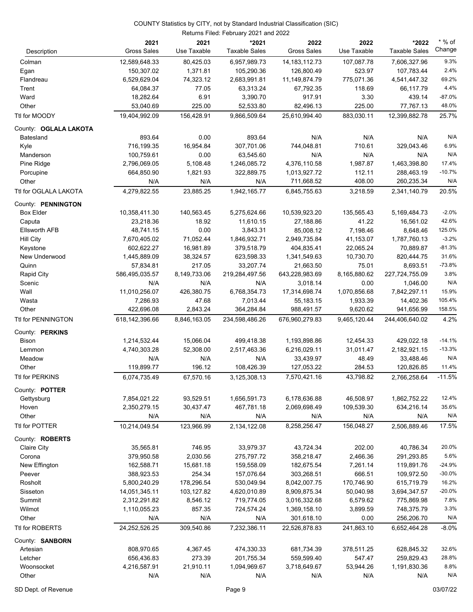|                        | Returns Filed: February 2021 and 2022 |                     |                               |                            |                     |                               |                    |
|------------------------|---------------------------------------|---------------------|-------------------------------|----------------------------|---------------------|-------------------------------|--------------------|
| Description            | 2021<br><b>Gross Sales</b>            | 2021<br>Use Taxable | *2021<br><b>Taxable Sales</b> | 2022<br><b>Gross Sales</b> | 2022<br>Use Taxable | *2022<br><b>Taxable Sales</b> | $*$ % of<br>Change |
| Colman                 | 12,589,648.33                         | 80,425.03           | 6,957,989.73                  | 14, 183, 112. 73           | 107,087.78          | 7,606,327.96                  | 9.3%               |
| Egan                   | 150,307.02                            | 1,371.81            | 105,290.36                    | 126,800.49                 | 523.97              | 107,783.44                    | 2.4%               |
| Flandreau              | 6,529,629.04                          | 74,323.12           | 2,683,991.81                  | 11,149,874.79              | 775,071.36          | 4,541,447.32                  | 69.2%              |
| Trent                  | 64,084.37                             | 77.05               | 63,313.24                     | 67,792.35                  | 118.69              | 66,117.79                     | 4.4%               |
| Ward                   | 18,282.64                             | 6.91                | 3,390.70                      | 917.91                     | 3.30                | 439.14                        | $-87.0%$           |
| Other                  | 53,040.69                             | 225.00              | 52,533.80                     | 82,496.13                  | 225.00              | 77,767.13                     | 48.0%              |
| Ttl for MOODY          | 19,404,992.09                         | 156,428.91          | 9,866,509.64                  | 25,610,994.40              | 883,030.11          | 12,399,882.78                 | 25.7%              |
| County: OGLALA LAKOTA  |                                       |                     |                               |                            |                     |                               |                    |
| <b>Batesland</b>       | 893.64                                | 0.00                | 893.64                        | N/A                        | N/A                 | N/A                           | N/A                |
| Kyle                   | 716,199.35                            | 16,954.84           | 307,701.06                    | 744,048.81                 | 710.61              | 329,043.46                    | 6.9%               |
| Manderson              | 100,759.61                            | 0.00                | 63,545.60                     | N/A                        | N/A                 | N/A                           | N/A                |
| Pine Ridge             | 2,796,069.05                          | 5,108.48            | 1,246,085.72                  | 4,376,110.58               | 1,987.87            | 1,463,398.80                  | 17.4%              |
| Porcupine              | 664,850.90                            | 1,821.93            | 322,889.75                    | 1,013,927.72               | 112.11              | 288,463.19                    | $-10.7%$           |
| Other                  | N/A                                   | N/A                 | N/A                           | 711,668.52                 | 408.00              | 260,235.34                    | N/A                |
| Ttl for OGLALA LAKOTA  | 4,279,822.55                          | 23,885.25           | 1,942,165.77                  | 6.845.755.63               | 3,218.59            | 2,341,140.79                  | 20.5%              |
| County: PENNINGTON     |                                       |                     |                               |                            |                     |                               |                    |
| <b>Box Elder</b>       | 10,358,411.30                         | 140,563.45          | 5,275,624.66                  | 10,539,923.20              | 135,565.43          | 5,169,484.73                  | $-2.0%$            |
| Caputa                 | 23,218.36                             | 18.92               | 11,610.15                     | 27,188.86                  | 41.22               | 16,561.02                     | 42.6%              |
| <b>Ellsworth AFB</b>   | 48,741.15                             | 0.00                | 3,843.31                      | 85,008.12                  | 7,198.46            | 8,648.46                      | 125.0%             |
| <b>Hill City</b>       | 7,670,405.02                          | 71,052.44           | 1,846,932.71                  | 2,949,735.84               | 41,153.07           | 1,787,760.13                  | $-3.2%$            |
| Keystone               | 602,622.27                            | 16,981.89           | 379,518.79                    | 404,835.41                 | 22,065.24           | 70,889.87                     | $-81.3%$           |
| New Underwood          | 1,445,889.09                          | 38,324.57           | 623,598.33                    | 1,341,549.63               | 10,730.70           | 820,444.75                    | 31.6%              |
| Quinn                  | 57,834.81                             | 217.05              | 33,207.74                     | 21,663.50                  | 75.01               | 8,693.51                      | $-73.8%$           |
| <b>Rapid City</b>      | 586,495,035.57                        | 8,149,733.06        | 219,284,497.56                | 643,228,983.69             | 8,165,880.62        | 227,724,755.09                | 3.8%               |
| Scenic                 | N/A                                   | N/A                 | N/A                           | 3,018.14                   | 0.00                | 1,046.00                      | N/A                |
| Wall                   | 11,010,256.07                         | 426,380.75          | 6,768,354.73                  | 17,314,698.74              | 1,070,856.68        | 7,842,297.11                  | 15.9%              |
| Wasta                  | 7,286.93                              | 47.68               | 7,013.44                      | 55,183.15                  | 1,933.39            | 14,402.36                     | 105.4%             |
| Other                  | 422,696.08                            | 2,843.24            | 364,284.84                    | 988,491.57                 | 9,620.62            | 941,656.99                    | 158.5%             |
| Ttl for PENNINGTON     | 618,142,396.66                        | 8,846,163.05        | 234,598,486.26                | 676,960,279.83             | 9,465,120.44        | 244,406,640.02                | 4.2%               |
| County: PERKINS        |                                       |                     |                               |                            |                     |                               |                    |
| Bison                  | 1,214,532.44                          | 15,066.04           | 499,418.38                    | 1,193,898.86               | 12,454.33           | 429,022.18                    | $-14.1%$           |
| Lemmon                 | 4,740,303.28                          | 52,308.00           | 2,517,463.36                  | 6,216,029.11               | 31,011.47           | 2,182,921.15                  | $-13.3%$           |
| Meadow                 | N/A                                   | N/A                 | N/A                           | 33,439.97                  | 48.49               | 33,488.46                     | N/A                |
| Other                  | 119,899.77                            | 196.12              | 108,426.39                    | 127,053.22                 | 284.53              | 120,826.85                    | 11.4%              |
| Ttl for PERKINS        | 6,074,735.49                          | 67,570.16           | 3,125,308.13                  | 7,570,421.16               | 43,798.82           | 2,766,258.64                  | $-11.5%$           |
| County: <b>POTTER</b>  |                                       |                     |                               |                            |                     |                               |                    |
| Gettysburg             | 7,854,021.22                          | 93,529.51           | 1,656,591.73                  | 6,178,636.88               | 46,508.97           | 1,862,752.22                  | 12.4%              |
| Hoven                  | 2,350,279.15                          | 30,437.47           | 467,781.18                    | 2,069,698.49               | 109,539.30          | 634,216.14                    | 35.6%              |
| Other                  | N/A                                   | N/A                 | N/A                           | N/A                        | N/A                 | N/A                           | N/A                |
| Ttl for POTTER         | 10,214,049.54                         | 123,966.99          | 2,134,122.08                  | 8,258,256.47               | 156,048.27          | 2,506,889.46                  | 17.5%              |
| County: <b>ROBERTS</b> |                                       |                     |                               |                            |                     |                               |                    |
| Claire City            | 35,565.81                             | 746.95              | 33,979.37                     | 43,724.34                  | 202.00              | 40,786.34                     | 20.0%              |
| Corona                 | 379,950.58                            | 2,030.56            | 275,797.72                    | 358,218.47                 | 2,466.36            | 291,293.85                    | 5.6%               |
| New Effington          | 162,588.71                            | 15,681.18           | 159,558.09                    | 182,675.54                 | 7,261.14            | 119,891.76                    | $-24.9%$           |
| Peever                 | 388,923.53                            | 254.34              | 157,076.64                    | 303,268.51                 | 666.51              | 109,972.50                    | $-30.0%$           |
| Rosholt                | 5,800,240.29                          | 178,296.54          | 530,049.94                    | 8,042,007.75               | 170,746.90          | 615,719.79                    | 16.2%              |
| Sisseton               | 14,051,345.11                         | 103,127.82          | 4,620,010.89                  | 8,909,875.34               | 50,040.98           | 3,694,347.57                  | $-20.0%$           |
| Summit                 | 2,312,291.82                          | 8,546.12            | 719,774.05                    | 3,016,332.68               | 6,579.62            | 775,869.98                    | 7.8%               |
| Wilmot                 | 1,110,055.23                          | 857.35              | 724,574.24                    | 1,369,158.10               | 3,899.59            | 748,375.79                    | 3.3%               |
| Other                  | N/A                                   | N/A                 | N/A                           | 301,618.10                 | 0.00                | 256,206.70                    | N/A                |
| Ttl for ROBERTS        | 24,252,526.25                         | 309,540.86          | 7,232,386.11                  | 22,526,878.83              | 241,863.10          | 6,652,464.28                  | $-8.0%$            |
| County: SANBORN        |                                       |                     |                               |                            |                     |                               |                    |
| Artesian               | 808,970.65                            | 4,367.45            | 474,330.33                    | 681,734.39                 | 378,511.25          | 628,845.32                    | 32.6%              |
| Letcher                | 656,436.83                            | 273.39              | 201,755.34                    | 559,599.40                 | 547.47              | 259,829.43                    | 28.8%              |
| Woonsocket             | 4,216,587.91                          | 21,910.11           | 1,094,969.67                  | 3,718,649.67               | 53,944.26           | 1,191,830.36                  | 8.8%               |
| Other                  | N/A                                   | N/A                 | N/A                           | N/A                        | N/A                 | N/A                           | N/A                |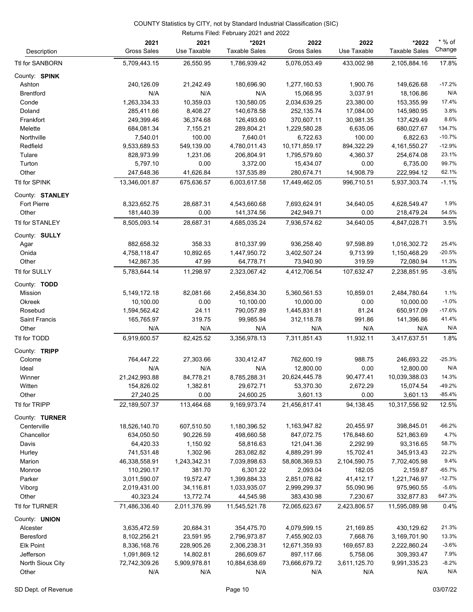|                           | Returns Filed: February 2021 and 2022 |                           |                               |                             |                          |                               |                      |  |
|---------------------------|---------------------------------------|---------------------------|-------------------------------|-----------------------------|--------------------------|-------------------------------|----------------------|--|
| Description               | 2021<br><b>Gross Sales</b>            | 2021<br>Use Taxable       | *2021<br><b>Taxable Sales</b> | 2022<br>Gross Sales         | 2022<br>Use Taxable      | *2022<br><b>Taxable Sales</b> | $*$ % of<br>Change   |  |
| Ttl for SANBORN           | 5,709,443.15                          | 26,550.95                 | 1,786,939.42                  | 5,076,053.49                | 433,002.98               | 2,105,884.16                  | 17.8%                |  |
| County: SPINK             |                                       |                           |                               |                             |                          |                               |                      |  |
| Ashton                    | 240,126.09                            | 21,242.49                 | 180,696.90                    | 1,277,160.53                | 1,900.76                 | 149,626.68                    | $-17.2%$             |  |
| <b>Brentford</b>          | N/A                                   | N/A                       | N/A                           | 15,068.95                   | 3,037.91                 | 18,106.86                     | N/A                  |  |
| Conde                     | 1,263,334.33                          | 10,359.03                 | 130,580.05                    | 2,034,639.25                | 23,380.00                | 153,355.99                    | 17.4%                |  |
| Doland                    | 285,411.66                            | 8,408.27                  | 140,678.58                    | 252,135.74                  | 17,084.00                | 145,980.95                    | 3.8%                 |  |
| Frankfort                 | 249,399.46                            | 36,374.68                 | 126,493.60                    | 370,607.11                  | 30,981.35                | 137,429.49                    | 8.6%                 |  |
| Melette                   | 684,081.34                            | 7,155.21                  | 289,804.21                    | 1,229,580.28                | 6,635.06                 | 680,027.67                    | 134.7%               |  |
| Northville                | 7,540.01                              | 100.00                    | 7,640.01                      | 6,722.63                    | 100.00                   | 6,822.63                      | $-10.7%$             |  |
| Redfield                  | 9,533,689.53                          | 549,139.00                | 4,780,011.43                  | 10,171,859.17               | 894,322.29               | 4, 161, 550. 27               | $-12.9%$             |  |
| Tulare                    | 828,973.99                            | 1,231.06                  | 206,804.91                    | 1,795,579.60                | 4,360.37                 | 254,674.08                    | 23.1%                |  |
| Turton                    | 5,797.10                              | 0.00                      | 3,372.00                      | 15,434.07                   | 0.00                     | 6,735.00                      | 99.7%                |  |
| Other                     | 247,648.36                            | 41,626.84                 | 137,535.89                    | 280,674.71                  | 14,908.79                | 222,994.12                    | 62.1%                |  |
| Ttl for SPINK             | 13,346,001.87                         | 675,636.57                | 6,003,617.58                  | 17,449,462.05               | 996,710.51               | 5,937,303.74                  | $-1.1%$              |  |
| County: STANLEY           |                                       |                           |                               |                             |                          |                               |                      |  |
| <b>Fort Pierre</b>        | 8,323,652.75                          | 28,687.31                 | 4,543,660.68                  | 7,693,624.91                | 34,640.05                | 4,628,549.47                  | 1.9%                 |  |
| Other                     | 181,440.39                            | 0.00                      | 141,374.56                    | 242,949.71                  | 0.00                     | 218,479.24                    | 54.5%                |  |
| Ttl for STANLEY           | 8,505,093.14                          | 28,687.31                 | 4,685,035.24                  | 7,936,574.62                | 34,640.05                | 4,847,028.71                  | 3.5%                 |  |
| County: SULLY             |                                       |                           |                               |                             |                          |                               |                      |  |
| Agar                      | 882,658.32                            | 358.33                    | 810,337.99                    | 936,258.40                  | 97,598.89                | 1,016,302.72                  | 25.4%                |  |
| Onida                     | 4,758,118.47                          | 10,892.65                 | 1,447,950.72                  | 3,402,507.24                | 9,713.99                 | 1,150,468.29                  | $-20.5%$             |  |
| Other                     | 142,867.35                            | 47.99                     | 64,778.71                     | 73,940.90                   | 319.59                   | 72,080.94                     | 11.3%                |  |
| Ttl for SULLY             | 5,783,644.14                          | 11,298.97                 | 2,323,067.42                  | 4,412,706.54                | 107,632.47               | 2,238,851.95                  | $-3.6%$              |  |
|                           |                                       |                           |                               |                             |                          |                               |                      |  |
| County: TODD<br>Mission   |                                       | 82,081.66                 | 2,456,834.30                  | 5,360,561.53                | 10,859.01                | 2,484,780.64                  | 1.1%                 |  |
| Okreek                    | 5,149,172.18<br>10,100.00             | 0.00                      | 10,100.00                     | 10,000.00                   | 0.00                     | 10,000.00                     | $-1.0%$              |  |
| Rosebud                   | 1,594,562.42                          | 24.11                     | 790,057.89                    | 1,445,831.81                | 81.24                    | 650,917.09                    | $-17.6%$             |  |
| Saint Francis             | 165,765.97                            | 319.75                    | 99,985.94                     | 312,118.78                  | 991.86                   | 141,396.86                    | 41.4%                |  |
| Other                     | N/A                                   | N/A                       | N/A                           | N/A                         | N/A                      | N/A                           | N/A                  |  |
| Ttl for TODD              | 6,919,600.57                          | 82,425.52                 | 3,356,978.13                  | 7,311,851.43                | 11,932.11                | 3,417,637.51                  | 1.8%                 |  |
|                           |                                       |                           |                               |                             |                          |                               |                      |  |
| County: TRIPP             |                                       |                           |                               |                             |                          |                               |                      |  |
| Colome                    | 764,447.22                            | 27,303.66                 | 330,412.47                    | 762,600.19                  | 988.75                   | 246,693.22                    | $-25.3%$             |  |
| Ideal                     | N/A                                   | N/A                       | N/A                           | 12,800.00                   | 0.00                     | 12,800.00                     | N/A                  |  |
| Winner                    | 21,242,993.88                         | 84,778.21                 | 8,785,288.31                  | 20,624,445.78               | 90,477.41                | 10,039,388.03                 | 14.3%                |  |
| Witten                    | 154,826.02                            | 1,382.81                  | 29,672.71                     | 53,370.30                   | 2,672.29                 | 15,074.54                     | $-49.2%$<br>$-85.4%$ |  |
| Other<br>Ttl for TRIPP    | 27,240.25<br>22,189,507.37            | 0.00<br>113,464.68        | 24,600.25<br>9,169,973.74     | 3,601.13<br>21,456,817.41   | 0.00<br>94,138.45        | 3,601.13<br>10,317,556.92     | 12.5%                |  |
|                           |                                       |                           |                               |                             |                          |                               |                      |  |
| County: TURNER            |                                       |                           |                               |                             |                          |                               |                      |  |
| Centerville               | 18,526,140.70                         | 607,510.50                | 1,180,396.52                  | 1,163,947.82                | 20,455.97                | 398,845.01                    | $-66.2%$             |  |
| Chancellor                | 634,050.50                            | 90,226.59                 | 498,660.58                    | 847,072.75                  | 176,848.60               | 521,863.69                    | 4.7%                 |  |
| Davis                     | 64,420.33                             | 1,150.92                  | 58,816.63                     | 121,041.36                  | 2,292.99                 | 93,316.65                     | 58.7%                |  |
| Hurley                    | 741,531.48                            | 1,302.96                  | 283,082.82                    | 4,889,291.99                | 15,702.41                | 345,913.43                    | 22.2%                |  |
| Marion                    | 46,338,558.91                         | 1,243,342.31              | 7,039,898.63                  | 58,808,369.53               | 2,104,590.75             | 7,702,405.98                  | 9.4%                 |  |
| Monroe                    | 110,290.17                            | 381.70                    | 6,301.22                      | 2,093.04                    | 182.05                   | 2,159.87                      | $-65.7%$             |  |
| Parker                    | 3,011,590.07                          | 19,572.47                 | 1,399,884.33                  | 2,851,076.82                | 41,412.17                | 1,221,746.97                  | $-12.7%$             |  |
| Viborg                    | 2,019,431.00                          | 34,116.81                 | 1,033,935.07                  | 2,999,299.37                | 55,090.96                | 975,960.55                    | $-5.6%$              |  |
| Other<br>Ttl for TURNER   | 40,323.24<br>71,486,336.40            | 13,772.74<br>2,011,376.99 | 44,545.98<br>11,545,521.78    | 383,430.98<br>72,065,623.67 | 7,230.67<br>2,423,806.57 | 332,877.83<br>11,595,089.98   | 647.3%<br>0.4%       |  |
|                           |                                       |                           |                               |                             |                          |                               |                      |  |
| County: UNION<br>Alcester | 3,635,472.59                          | 20,684.31                 | 354,475.70                    | 4,079,599.15                | 21,169.85                | 430,129.62                    | 21.3%                |  |
| Beresford                 | 8,102,256.21                          | 23,591.95                 | 2,796,973.87                  | 7,455,902.03                | 7,668.76                 | 3,169,701.90                  | 13.3%                |  |
| <b>Elk Point</b>          | 8,336,168.76                          | 228,905.26                | 2,306,238.31                  | 12,671,359.93               | 169,657.83               | 2,222,860.24                  | $-3.6%$              |  |
| Jefferson                 | 1,091,869.12                          | 14,802.81                 | 286,609.67                    | 897,117.66                  | 5,758.06                 | 309,393.47                    | 7.9%                 |  |
| North Sioux City          | 72,742,309.26                         | 5,909,978.81              | 10,884,638.69                 | 73,666,679.72               | 3,611,125.70             | 9,991,335.23                  | $-8.2%$              |  |
| Other                     | N/A                                   | N/A                       | N/A                           | N/A                         | N/A                      | N/A                           | N/A                  |  |